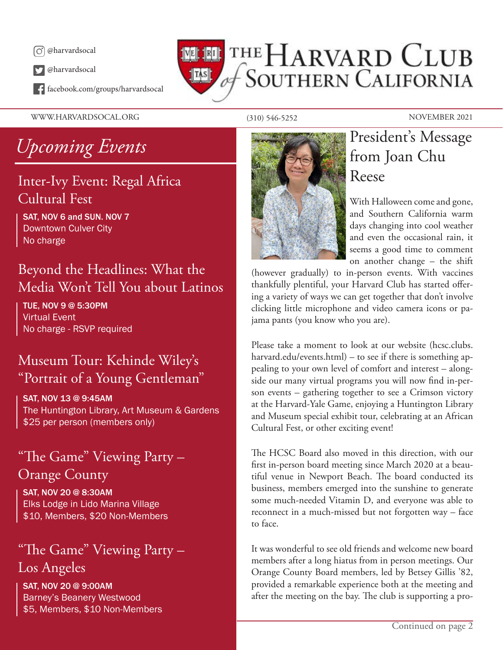

@harvardsocal

facebook.com/groups/harvardsocal

WWW.HARVARDSOCAL.ORG (310) 546-5252 NOVEMBER 2021

## THE HARVARD CLUB **TAS** of SOUTHERN CALIFORNIA

# *Upcoming Events*

## Inter-Ivy Event: Regal Africa Cultural Fest

SAT, NOV 6 and SUN. NOV 7 Downtown Culver City No charge

### Beyond the Headlines: What the Media Won't Tell You about Latinos

TUE, NOV 9 @ 5:30PM Virtual Event No charge - RSVP required

## Museum Tour: Kehinde Wiley's "Portrait of a Young Gentleman"

SAT, NOV 13 @ 9:45AM The Huntington Library, Art Museum & Gardens \$25 per person (members only)

### "The Game" Viewing Party – Orange County

SAT, NOV 20 @ 8:30AM Elks Lodge in Lido Marina Village \$10, Members, \$20 Non-Members

## "The Game" Viewing Party – Los Angeles

SAT, NOV 20 @ 9:00AM Barney's Beanery Westwood \$5, Members, \$10 Non-Members



## President's Message from Joan Chu Reese

With Halloween come and gone, and Southern California warm days changing into cool weather and even the occasional rain, it seems a good time to comment on another change – the shift

(however gradually) to in-person events. With vaccines thankfully plentiful, your Harvard Club has started offering a variety of ways we can get together that don't involve clicking little microphone and video camera icons or pajama pants (you know who you are).

Please take a moment to look at our website (hcsc.clubs. harvard.edu/events.html) – to see if there is something appealing to your own level of comfort and interest – alongside our many virtual programs you will now find in-person events – gathering together to see a Crimson victory at the Harvard-Yale Game, enjoying a Huntington Library and Museum special exhibit tour, celebrating at an African Cultural Fest, or other exciting event!

The HCSC Board also moved in this direction, with our first in-person board meeting since March 2020 at a beautiful venue in Newport Beach. The board conducted its business, members emerged into the sunshine to generate some much-needed Vitamin D, and everyone was able to reconnect in a much-missed but not forgotten way – face to face.

It was wonderful to see old friends and welcome new board members after a long hiatus from in person meetings. Our Orange County Board members, led by Betsey Gillis '82, provided a remarkable experience both at the meeting and after the meeting on the bay. The club is supporting a pro-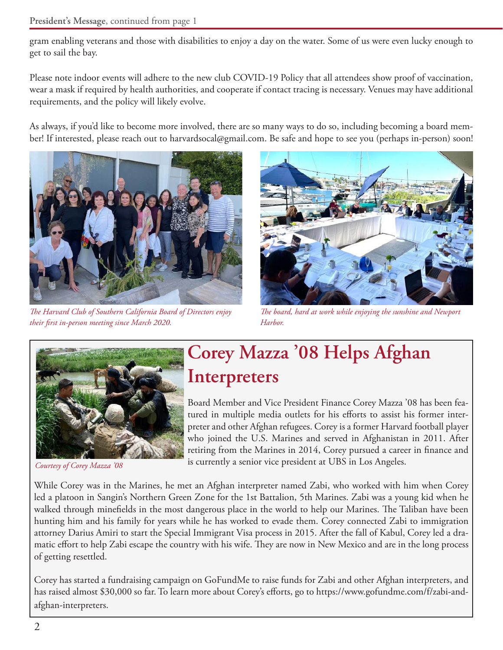gram enabling veterans and those with disabilities to enjoy a day on the water. Some of us were even lucky enough to get to sail the bay.

Please note indoor events will adhere to the new club COVID-19 Policy that all attendees show proof of vaccination, wear a mask if required by health authorities, and cooperate if contact tracing is necessary. Venues may have additional requirements, and the policy will likely evolve.

As always, if you'd like to become more involved, there are so many ways to do so, including becoming a board member! If interested, please reach out to harvardsocal@gmail.com. Be safe and hope to see you (perhaps in-person) soon!



*The Harvard Club of Southern California Board of Directors enjoy their first in-person meeting since March 2020.*



*The board, hard at work while enjoying the sunshine and Newport Harbor.*



*Courtesy of Corey Mazza '08*

## **Corey Mazza '08 Helps Afghan Interpreters**

Board Member and Vice President Finance Corey Mazza '08 has been featured in multiple media outlets for his efforts to assist his former interpreter and other Afghan refugees. Corey is a former Harvard football player who joined the U.S. Marines and served in Afghanistan in 2011. After retiring from the Marines in 2014, Corey pursued a career in finance and is currently a senior vice president at UBS in Los Angeles.

While Corey was in the Marines, he met an Afghan interpreter named Zabi, who worked with him when Corey led a platoon in Sangin's Northern Green Zone for the 1st Battalion, 5th Marines. Zabi was a young kid when he walked through minefields in the most dangerous place in the world to help our Marines. The Taliban have been hunting him and his family for years while he has worked to evade them. Corey connected Zabi to immigration attorney Darius Amiri to start the Special Immigrant Visa process in 2015. After the fall of Kabul, Corey led a dramatic effort to help Zabi escape the country with his wife. They are now in New Mexico and are in the long process of getting resettled.

Corey has started a fundraising campaign on GoFundMe to raise funds for Zabi and other Afghan interpreters, and has raised almost \$30,000 so far. To learn more about Corey's efforts, go to https://www.gofundme.com/f/zabi-andafghan-interpreters.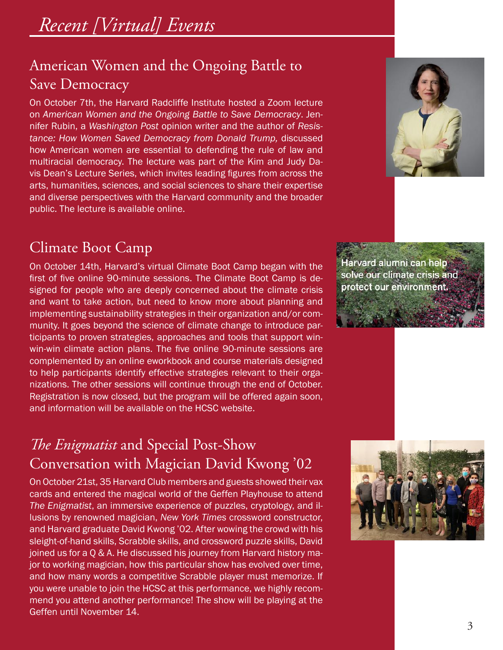## American Women and the Ongoing Battle to Save Democracy

On October 7th, the Harvard Radcliffe Institute hosted a Zoom lecture on *American Women and the Ongoing Battle to Save Democracy*. Jennifer Rubin, a *Washington Post* opinion writer and the author of *Resistance: How Women Saved Democracy from Donald Trump,* discussed how American women are essential to defending the rule of law and multiracial democracy. The lecture was part of the Kim and Judy Davis Dean's Lecture Series, which invites leading figures from across the arts, humanities, sciences, and social sciences to share their expertise and diverse perspectives with the Harvard community and the broader public. The lecture is available online.

### Climate Boot Camp

On October 14th, Harvard's virtual Climate Boot Camp began with the first of five online 90-minute sessions. The Climate Boot Camp is designed for people who are deeply concerned about the climate crisis and want to take action, but need to know more about planning and implementing sustainability strategies in their organization and/or community. It goes beyond the science of climate change to introduce participants to proven strategies, approaches and tools that support winwin-win climate action plans. The five online 90-minute sessions are complemented by an online eworkbook and course materials designed to help participants identify effective strategies relevant to their organizations. The other sessions will continue through the end of October. Registration is now closed, but the program will be offered again soon, and information will be available on the HCSC website.

## *The Enigmatist* and Special Post-Show Conversation with Magician David Kwong '02

On October 21st, 35 Harvard Club members and guests showed their vax cards and entered the magical world of the Geffen Playhouse to attend *The Enigmatist*, an immersive experience of puzzles, cryptology, and illusions by renowned magician, *New York Times* crossword constructor, and Harvard graduate David Kwong '02. After wowing the crowd with his sleight-of-hand skills, Scrabble skills, and crossword puzzle skills, David joined us for a Q & A. He discussed his journey from Harvard history major to working magician, how this particular show has evolved over time, and how many words a competitive Scrabble player must memorize. If you were unable to join the HCSC at this performance, we highly recommend you attend another performance! The show will be playing at the Geffen until November 14.



Harvard alumni can help solve our climate crisis and protect our environment.

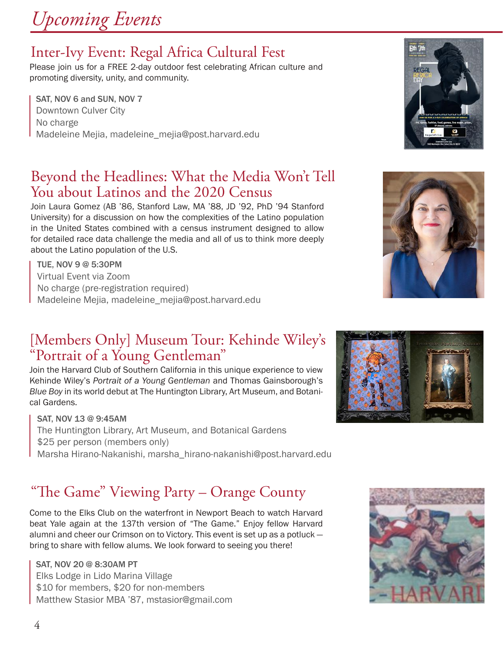# *Upcoming Events*

## Inter-Ivy Event: Regal Africa Cultural Fest

Please join us for a FREE 2-day outdoor fest celebrating African culture and promoting diversity, unity, and community.

SAT, NOV 6 and SUN, NOV 7 Downtown Culver City No charge Madeleine Mejia, madeleine\_mejia@post.harvard.edu

## Beyond the Headlines: What the Media Won't Tell You about Latinos and the 2020 Census

Join Laura Gomez (AB '86, Stanford Law, MA '88, JD '92, PhD '94 Stanford University) for a discussion on how the complexities of the Latino population in the United States combined with a census instrument designed to allow for detailed race data challenge the media and all of us to think more deeply about the Latino population of the U.S.

TUE, NOV 9 @ 5:30PM Virtual Event via Zoom No charge (pre-registration required) Madeleine Mejia, madeleine\_mejia@post.harvard.edu

## [Members Only] Museum Tour: Kehinde Wiley's "Portrait of a Young Gentleman"

Join the Harvard Club of Southern California in this unique experience to view Kehinde Wiley's *Portrait of a Young Gentleman* and Thomas Gainsborough's *Blue Boy* in its world debut at The Huntington Library, Art Museum, and Botanical Gardens.

SAT, NOV 13 @ 9:45AM The Huntington Library, Art Museum, and Botanical Gardens \$25 per person (members only) Marsha Hirano-Nakanishi, marsha\_hirano-nakanishi@post.harvard.edu

## "The Game" Viewing Party – Orange County

Come to the Elks Club on the waterfront in Newport Beach to watch Harvard beat Yale again at the 137th version of "The Game." Enjoy fellow Harvard alumni and cheer our Crimson on to Victory. This event is set up as a potluck bring to share with fellow alums. We look forward to seeing you there!

SAT, NOV 20 @ 8:30AM PT Elks Lodge in Lido Marina Village \$10 for members, \$20 for non-members Matthew Stasior MBA '87, mstasior@gmail.com







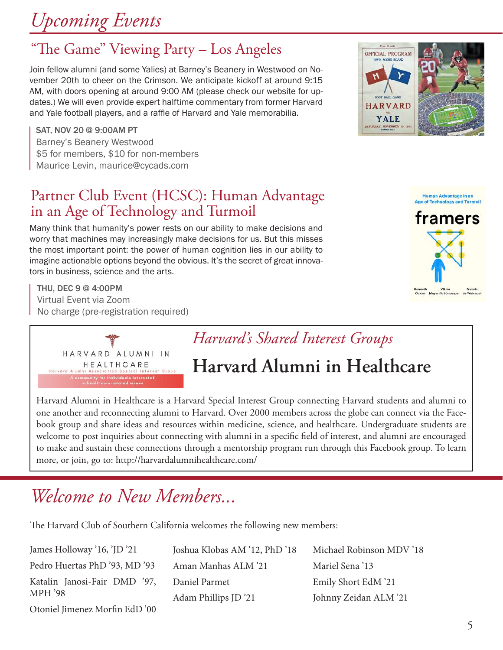# *Upcoming Events*

## "The Game" Viewing Party – Los Angeles

Join fellow alumni (and some Yalies) at Barney's Beanery in Westwood on November 20th to cheer on the Crimson. We anticipate kickoff at around 9:15 AM, with doors opening at around 9:00 AM (please check our website for updates.) We will even provide expert halftime commentary from former Harvard and Yale football players, and a raffle of Harvard and Yale memorabilia.

SAT, NOV 20 @ 9:00AM PT Barney's Beanery Westwood \$5 for members, \$10 for non-members Maurice Levin, maurice@cycads.com

## Partner Club Event (HCSC): Human Advantage in an Age of Technology and Turmoil

Many think that humanity's power rests on our ability to make decisions and worry that machines may increasingly make decisions for us. But this misses the most important point: the power of human cognition lies in our ability to imagine actionable options beyond the obvious. It's the secret of great innovators in business, science and the arts.

THU, DEC 9 @ 4:00PM Virtual Event via Zoom No charge (pre-registration required)



## *Harvard's Shared Interest Groups*

## **Harvard Alumni in Healthcare**

Harvard Alumni in Healthcare is a Harvard Special Interest Group connecting Harvard students and alumni to one another and reconnecting alumni to Harvard. Over 2000 members across the globe can connect via the Facebook group and share ideas and resources within medicine, science, and healthcare. Undergraduate students are welcome to post inquiries about connecting with alumni in a specific field of interest, and alumni are encouraged to make and sustain these connections through a mentorship program run through this Facebook group. To learn more, or join, go to: http://harvardalumnihealthcare.com/

## *Welcome to New Members...*

The Harvard Club of Southern California welcomes the following new members:

| James Holloway '16, 'JD '21   | Joshua Klobas AM '12, PhD '18 | Michael Robinson MDV '18 |
|-------------------------------|-------------------------------|--------------------------|
| Pedro Huertas PhD '93, MD '93 | Aman Manhas ALM '21           | Mariel Sena '13          |
| Katalin Janosi-Fair DMD '97,  | Daniel Parmet                 | Emily Short EdM '21      |
| <b>MPH</b> '98                | Adam Phillips JD '21          | Johnny Zeidan ALM '21    |
| Otoniel Jimenez Morfin EdD'00 |                               |                          |



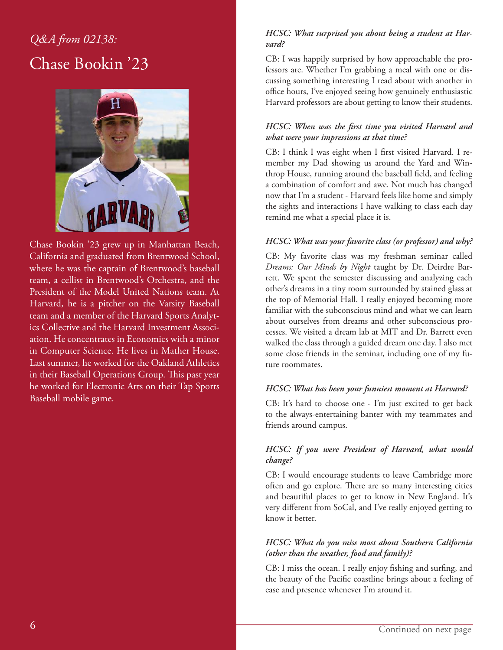## *Q&A from 02138:* Chase Bookin '23



Chase Bookin '23 grew up in Manhattan Beach, California and graduated from Brentwood School, where he was the captain of Brentwood's baseball team, a cellist in Brentwood's Orchestra, and the President of the Model United Nations team. At Harvard, he is a pitcher on the Varsity Baseball team and a member of the Harvard Sports Analytics Collective and the Harvard Investment Association. He concentrates in Economics with a minor in Computer Science. He lives in Mather House. Last summer, he worked for the Oakland Athletics in their Baseball Operations Group. This past year he worked for Electronic Arts on their Tap Sports Baseball mobile game.

### *HCSC: What surprised you about being a student at Harvard?*

CB: I was happily surprised by how approachable the professors are. Whether I'm grabbing a meal with one or discussing something interesting I read about with another in office hours, I've enjoyed seeing how genuinely enthusiastic Harvard professors are about getting to know their students.

### *HCSC: When was the first time you visited Harvard and what were your impressions at that time?*

CB: I think I was eight when I first visited Harvard. I remember my Dad showing us around the Yard and Winthrop House, running around the baseball field, and feeling a combination of comfort and awe. Not much has changed now that I'm a student - Harvard feels like home and simply the sights and interactions I have walking to class each day remind me what a special place it is.

### *HCSC: What was your favorite class (or professor) and why?*

CB: My favorite class was my freshman seminar called *Dreams: Our Minds by Night* taught by Dr. Deirdre Barrett. We spent the semester discussing and analyzing each other's dreams in a tiny room surrounded by stained glass at the top of Memorial Hall. I really enjoyed becoming more familiar with the subconscious mind and what we can learn about ourselves from dreams and other subconscious processes. We visited a dream lab at MIT and Dr. Barrett even walked the class through a guided dream one day. I also met some close friends in the seminar, including one of my future roommates.

### *HCSC: What has been your funniest moment at Harvard?*

CB: It's hard to choose one - I'm just excited to get back to the always-entertaining banter with my teammates and friends around campus.

### *HCSC: If you were President of Harvard, what would change?*

CB: I would encourage students to leave Cambridge more often and go explore. There are so many interesting cities and beautiful places to get to know in New England. It's very different from SoCal, and I've really enjoyed getting to know it better.

### *HCSC: What do you miss most about Southern California (other than the weather, food and family)?*

CB: I miss the ocean. I really enjoy fishing and surfing, and the beauty of the Pacific coastline brings about a feeling of ease and presence whenever I'm around it.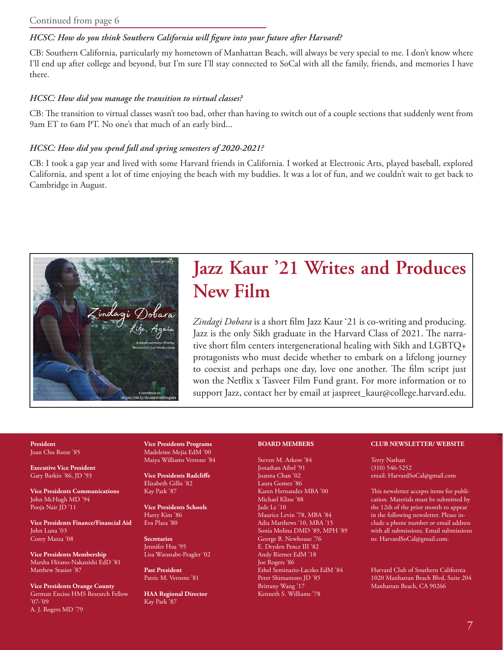#### Continued from page 6

#### *HCSC: How do you think Southern California will figure into your future after Harvard?*

CB: Southern California, particularly my hometown of Manhattan Beach, will always be very special to me. I don't know where I'll end up after college and beyond, but I'm sure I'll stay connected to SoCal with all the family, friends, and memories I have there.

#### *HCSC: How did you manage the transition to virtual classes?*

CB: The transition to virtual classes wasn't too bad, other than having to switch out of a couple sections that suddenly went from 9am ET to 6am PT. No one's that much of an early bird...

#### *HCSC: How did you spend fall and spring semesters of 2020-2021?*

CB: I took a gap year and lived with some Harvard friends in California. I worked at Electronic Arts, played baseball, explored California, and spent a lot of time enjoying the beach with my buddies. It was a lot of fun, and we couldn't wait to get back to Cambridge in August.



## **Jazz Kaur '21 Writes and Produces New Film**

*Zindagi Dobara* is a short film Jazz Kaur '21 is co-writing and producing. Jazz is the only Sikh graduate in the Harvard Class of 2021. The narrative short film centers intergenerational healing with Sikh and LGBTQ+ protagonists who must decide whether to embark on a lifelong journey to coexist and perhaps one day, love one another. The film script just won the Netflix x Tasveer Film Fund grant. For more information or to support Jazz, contact her by email at jaspreet\_kaur@college.harvard.edu.

### Joan Chu Reese '85

**Executive Vice President** Gary Barkin '86, JD '93

**Vice Presidents Communications** John McHugh MD '94 Pooja Nair JD '11

**Vice Presidents Finance/Financial Aid** John Luna '03 Corey Mazza '08

**Vice Presidents Membership** Marsha Hirano-Nakanishi EdD '81 Matthew Stasior '87

**Vice Presidents Orange County** German Enciso HMS Research Fellow '07-'09 A. J. Rogers MD '79

**Vice Presidents Programs** Madeleine Mejia EdM '00 Maiya Williams Verrone '84

**Vice Presidents Radcliffe** Elizabeth Gillis '82 Kay Park '87

**Vice Presidents Schools** Harry Kim '86 Eva Plaza '80

**Secretaries** Jennifer Hsu '95 Lisa Watanabe-Peagler '02

**Past President** Patric M. Verrone '81

**HAA Regional Director** Kay Park '87

#### **BOARD MEMBERS**

Steven M. Arkow '84 Jonathan Aibel '91 Joanna Chan '02 Laura Gomez '86 Karen Hernandez MBA '00 Michael Kline '88 Jade Le '10 Maurice Levin '78, MBA '84 Adia Matthews '10, MBA '15 Sonia Molina DMD '89, MPH '89 George B. Newhouse '76 E. Dryden Pence III '82 Andy Riemer EdM '18 Joe Rogers '86 Ethel Seminario-Laczko EdM '84 Peter Shimamoto JD '85 Brittany Wang '17 Kenneth S. Williams '78

#### 7 **President CLUB NEWSLETTER/ WEBSITE**

Terry Nathan (310) 546-5252 email: HarvardSoCal@gmail.com

This newsletter accepts items for publication. Materials must be submitted by the 12th of the prior month to appear in the following newsletter. Please include a phone number or email address with all submissions. Email submissions to: HarvardSoCal@gmail.com.

Harvard Club of Southern California 1020 Manhattan Beach Blvd, Suite 204 Manhattan Beach, CA 90266